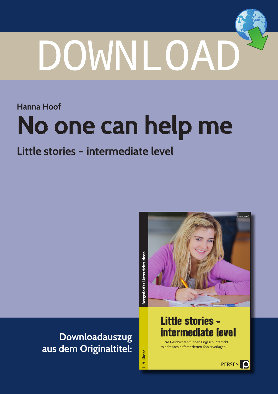# DOWNLOAD

**Hanna Hoof**

# **No one can help me**

## **Little stories – intermediate level**



## **Downloadauszug aus dem Originaltitel:**

**Little stories – intermediate level**

Kurze Geschichten für den Englischunterricht mit dreifach differenzierten Kopiervorlagen

**7.–9. Klasse**

7.-9. Klasse

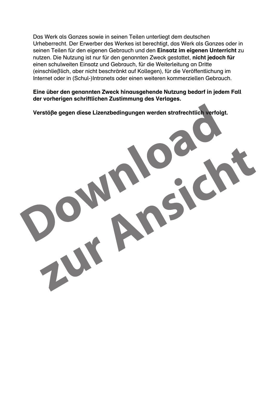Das Werk als Ganzes sowie in seinen Teilen unterliegt dem deutschen Urheberrecht. Der Erwerber des Werkes ist berechtigt, das Werk als Ganzes oder in seinen Teilen für den eigenen Gebrauch und den Einsatz im eigenen Unterricht zu nutzen. Die Nutzung ist nur für den genannten Zweck gestattet, nicht jedoch für einen schulweiten Einsatz und Gebrauch, für die Weiterleitung an Dritte (einschließlich, aber nicht beschränkt auf Kollegen), für die Veröffentlichung im Internet oder in (Schul-)Intranets oder einen weiteren kommerziellen Gebrauch.

Eine über den genannten Zweck hinausgehende Nutzung bedarf in jedem Fall der vorherigen schriftlichen Zustimmung des Verlages.

Verstöße gegen diese Lizenzbedingungen werden strafrechtlich verfolgt.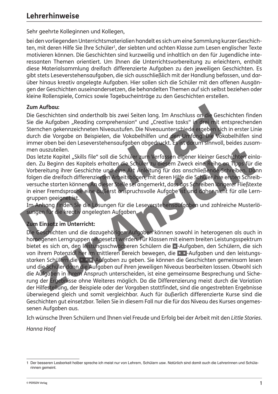Sehr geehrte Kolleginnen und Kollegen,

bei den vorliegenden Unterrichtsmaterialien handelt es sich um eine Sammlung kurzer Geschichten, mit deren Hilfe Sie Ihre Schüler<sup>1</sup>, der siebten und achten Klasse zum Lesen englischer Texte motivieren können. Die Geschichten sind kurzweilig und inhaltlich an den für Jugendliche interessanten Themen orientiert. Um Ihnen die Unterrichtsvorbereitung zu erleichtern, enthält diese Materialsammlung dreifach differenzierte Aufgaben zu den jeweiligen Geschichten. Es gibt stets Leseverstehensaufgaben, die sich ausschließlich mit der Handlung befassen, und darüber hinaus kreativ angelegte Aufgaben. Hier sollen sich die Schüler mit den offenen Ausgängen der Geschichten auseinandersetzen, die behandelten Themen auf sich selbst beziehen oder kleine Rollenspiele, Comics sowie Tagebucheinträge zu den Geschichten erstellen.

#### **Zum Aufbau:**

Die Geschichten sind anderthalb bis zwei Seiten lang. Im Anschluss an die Geschichten finden Sie die Aufgaben "Reading comprehension" und "Creative tasks" in drei mit entsprechenden Sternchen gekennzeichneten Niveaustufen. Die Niveauunterschiede ergeben sich in erster Linie durch die Vorgabe an Beispielen, die Vokabelhilfen und den Umfang. Die Vokabelhilfen sind immer oben bei den Leseverstehensaufgaben abgedruckt. Es ist darum sinnvoll, beides zusammen auszuteilen.

Das letzte Kapitel "Skills file" soll die Schüler zum Verfassen eigener kleiner Geschichten einladen. Zu Beginn des Kapitels erhalten die Schüler zu diesem Zweck eine Reihe an Tipps für die Vorbereitung ihrer Geschichte und eine Art Anleitung für das anschließende Schreiben. Dann folgen die dreifach differenzierten Arbeitsbögen, mit deren Hilfe die Schüler ihre ersten Schreibversuche starten können. An dieser Stelle sei angemerkt, dass das Schreiben längerer Fließtexte in einer Fremdsprache eine äußerst anspruchsvolle Aufgabe ist und daher nicht für alle Lerngruppen geeignet ist.

Im Anhang finden Sie die Lösungen für die Leseverstehensaufgaben und zahlreiche Musterlösungen für die kreativ angelegten Aufgaben.

#### **Zum Einsatz im Unterricht:**

Die Geschichten und die dazugehörigen Aufgaben können sowohl in heterogenen als auch in homogenen Lerngruppen eingesetzt werden. Für Klassen mit einem breiten Leistungsspektrum bietet es sich an, den leistungsschwächeren Schülern die **\*** -Aufgaben, den Schülern, die sich von ihrem Potenzial her im mittleren Bereich bewegen, die **\* \*** -Aufgaben und den leistungsstarken Schülern die **\* \* \*** -Aufgaben zu geben. Sie können die Geschichten gemeinsam lesen und die Schüler dann die Aufgaben auf ihren jeweiligen Niveaus bearbeiten lassen. Obwohl sich die Aufgaben in ihrem Anspruch unterscheiden, ist eine gemeinsame Besprechung und Sicherung der Ergebnisse ohne Weiteres möglich. Da die Differenzierung meist durch die Variation der Hilfestellung, der Beispiele oder der Vorgaben stattfindet, sind die angestrebten Ergebnisse überwiegend gleich und somit vergleichbar. Auch für äußerlich differenzierte Kurse sind die Geschichten gut einsetzbar. Teilen Sie in diesem Fall nur die für das Niveau des Kurses angemessenen Aufgaben aus.

Ich wünsche Ihren Schülern und Ihnen viel Freude und Erfolg bei der Arbeit mit den *Little Stories*.

*Hanna Hoof* 

<sup>1</sup> Der besseren Lesbarkeit halber spreche ich meist nur von Lehrern, Schülern usw. Natürlich sind damit auch die Lehrerinnen und Schülerinnen gemeint.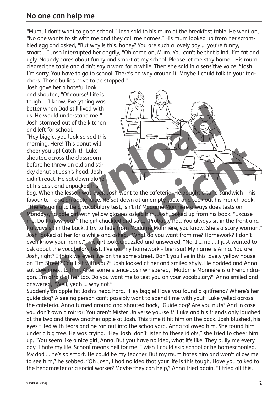#### **No one can help me**

"Mum, I don't want to go to school," Josh said to his mum at the breakfast table. He went on, "No one wants to sit with me and they call me names." His mum looked up from her scrambled egg and asked, "But why is this, honey? You are such a lovely boy … you're funny, smart …" Josh interrupted her angrily, "Oh come on, Mum. You can't be that blind. I'm fat and ugly. Nobody cares about funny and smart at my school. Please let me stay home." His mum cleared the table and didn't say a word for a while. Then she said in a sensitive voice, "Josh, I'm sorry. You have to go to school. There's no way around it. Maybe I could talk to your teachers. Those bullies have to be stopped."

Josh gave her a hateful look and shouted, "Of course! Life is tough … I know. Everything was better when Dad still lived with us. He would understand me!" Josh stormed out of the kitchen and left for school.

"Hey biggie, you look so sad this morning. Here! This donut will cheer you up! Catch it!" Luke shouted across the classroom before he threw an old and sticky donut at Josh's head. Josh didn't react. He sat down alone at his desk and unpacked his



bag. When the lesson was over, Josh went to the cafeteria. He bought a tuna sandwich – his favourite – and an apple juice. He sat down at an empty table and took out his French book. "There's going to be a vocabulary test, isn't it? Madame Monnière always does tests on Mondays," a pale girl with yellow glasses asked him. Josh looked up from his book. "Excuse me. Do I know you?" The girl chuckled and said, "Probably not. You always sit in the front and I always sit in the back. I try to hide from Madame Monnière, you know. She's a scary woman." Josh looked at her for a while and asked, "What do you want from me? Homework? I don't even know your name." The girl looked puzzled and answered, "No, I … no … I just wanted to ask about the vocabulary test. I've got my homework – bien sûr! My name is Anna. You are Josh, right? I think we even live on the same street. Don't you live in this lovely yellow house on Elm Street? Can I sit with you?" Josh looked at her and smiled shyly. He nodded and Anna sat down next to him. After some silence Josh whispered, "Madame Monnière is a French dragon. I'm afraid of her too. Do you want me to test you on your vocabulary?" Anna smiled and answered, "Well, yeah … why not."

Suddenly an apple hit Josh's head hard. "Hey biggie! Have you found a girlfriend? Where's her guide dog? A seeing person can't possibly want to spend time with you!" Luke yelled across the cafeteria. Anna turned around and shouted back, "Guide dog? Are you nuts? And in case you don't own a mirror: You aren't Mister Universe yourself." Luke and his friends only laughed at the two and threw another apple at Josh. This time it hit him on the back. Josh blushed, his eyes filled with tears and he ran out into the schoolyard. Anna followed him. She found him under a big tree. He was crying. "Hey Josh, don't listen to these idiots," she tried to cheer him up. "You seem like a nice girl, Anna. But you have no idea, what it's like. They bully me every day. I hate my life. School means hell for me. I wish I could skip school or be homeschooled. My dad … he's so smart. He could be my teacher. But my mum hates him and won't allow me to see him," he sobbed. "Oh Josh, I had no idea that your life is this tough. Have you talked to the headmaster or a social worker? Maybe they can help," Anna tried again. "I tried all this.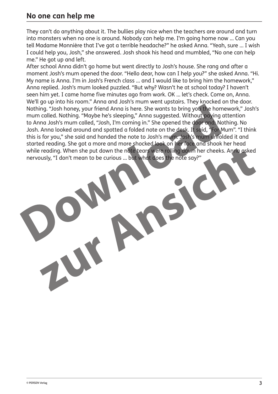#### **No one can help me**

They can't do anything about it. The bullies play nice when the teachers are around and turn into monsters when no one is around. Nobody can help me. I'm going home now … Can you tell Madame Monnière that I've got a terrible headache?" he asked Anna. "Yeah, sure … I wish I could help you, Josh," she answered. Josh shook his head and mumbled, "No one can help me." He got up and left.

After school Anna didn't go home but went directly to Josh's house. She rang and after a moment Josh's mum opened the door. "Hello dear, how can I help you?" she asked Anna. "Hi. My name is Anna. I'm in Josh's French class … and I would like to bring him the homework," Anna replied. Josh's mum looked puzzled. "But why? Wasn't he at school today? I haven't seen him yet. I came home five minutes ago from work. OK … let's check. Come on, Anna. We'll go up into his room." Anna and Josh's mum went upstairs. They knocked on the door. Nothing. "Josh honey, your friend Anna is here. She wants to bring you the homework," Josh's mum called. Nothing. "Maybe he's sleeping," Anna suggested. Without paying attention to Anna Josh's mum called, "Josh, I'm coming in." She opened the door and: Nothing. No Josh. Anna looked around and spotted a folded note on the desk. It said, "For Mum". "I think this is for you," she said and handed the note to Josh's mum. Josh's mum unfolded it and started reading. She got a more and more shocked look on her face and shook her head while reading. When she put down the note tears were rolling down her cheeks. Anna asked nervously, "I don't mean to be curious … but what does the note say?"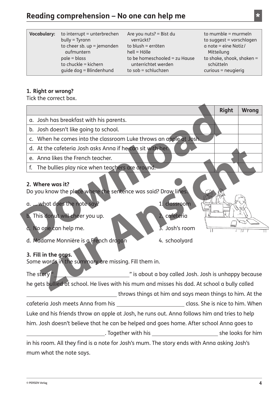### **Reading comprehension – No one can help me \***

| <b>Vocabulary:</b> | to interrupt = unterbrechen  | Are you nuts? = Bist du       | to mumble $=$ murmeln     |
|--------------------|------------------------------|-------------------------------|---------------------------|
|                    | $buly = Tyrann$              | verrückt?                     | to suggest = vorschlagen  |
|                    | to cheer sb. $up = jemanden$ | to blush = erröten            | $a$ note = eine Notiz/    |
|                    | aufmuntern                   | $hell = Hölle$                | Mitteilung                |
|                    | $pale = blass$               | to be homeschooled = zu Hause | to shake, shook, shaken = |
|                    | to chuckle = kichern         | unterrichtet werden           | schütteln                 |
|                    | quide dog = Blindenhund      | to $sob = schluchzen$         | $curious = neuqierig$     |

#### **1. Right or wrong?**

Tick the correct box.

|                                                                                                                                   |                                                          |  | <b>Right</b> | <b>Wrong</b> |
|-----------------------------------------------------------------------------------------------------------------------------------|----------------------------------------------------------|--|--------------|--------------|
| a. Josh has breakfast with his parents.                                                                                           |                                                          |  |              |              |
| b. Josh doesn't like going to school.                                                                                             |                                                          |  |              |              |
| c. When he comes into the classroom Luke throws an apple at Josh.                                                                 |                                                          |  |              |              |
| d. At the cafeteria Josh asks Anna if he can sit with her.                                                                        |                                                          |  |              |              |
| e. Anna likes the French teacher.                                                                                                 |                                                          |  |              |              |
| The bullies play nice when teachers are around.<br>f.                                                                             |                                                          |  |              |              |
| 2. Where was it?<br>Do you know the place where the sentence was said? Draw lines.<br>a.  what does the note say?<br>1. classroom |                                                          |  |              |              |
| <b>b.</b> This donut will cheer you up.                                                                                           | 2. cafeteria                                             |  |              |              |
| No one can help me.<br>ā.                                                                                                         | 3. Josh's room                                           |  |              |              |
| d. Madame Monnière is a French dragon<br>3. Fill in the gaps.<br>Some words in the summary are missing. Fill them in.             | 4. schoolyard                                            |  |              |              |
| The story"                                                                                                                        | is about a boy called Josh. Josh is unhappy because      |  |              |              |
| he gets bullied at school. He lives with his mum and misses his dad. At school a bully called                                     |                                                          |  |              |              |
|                                                                                                                                   | throws things at him and says mean things to him. At the |  |              |              |
| cafeteria Josh meets Anna from his                                                                                                | <b>Example 2018</b> Class. She is nice to him. When      |  |              |              |
| Luke and his friends throw an apple at Josh, he runs out. Anna follows him and tries to help                                      |                                                          |  |              |              |
| him. Josh doesn't believe that he can be helped and goes home. After school Anna goes to                                          |                                                          |  |              |              |
|                                                                                                                                   |                                                          |  |              |              |
| in his room. All they find is a note for Josh's mum. The story ends with Anna asking Josh's                                       |                                                          |  |              |              |
| mum what the note says.                                                                                                           |                                                          |  |              |              |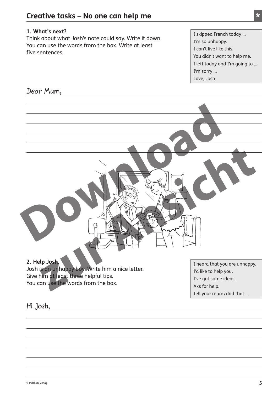#### **1. What's next?**

Think about what Josh's note could say. Write it down. You can use the words from the box. Write at least five sentences.

I skipped French today … I'm so unhappy. I can't live like this. You didn't want to help me. I left today and I'm going to … I'm sorry … Love, Josh

#### Dear Mum,

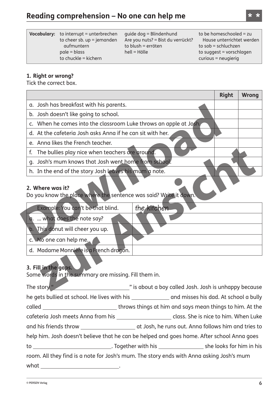| <b>Vocabulary:</b> to interrupt = unterbrechen<br>to cheer sb. up = jemanden<br>aufmuntern<br>$pale = blass$<br>to chuckle = kichern | quide dog = Blindenhund<br>Are you nuts? = Bist du verrückt?<br>to blush = erröten<br>$hell = Hölle$ | to be homeschooled = zu<br>Hause unterrichtet werden<br>to $sob = schluchzen$<br>to suggest = vorschlagen<br>$curious = neugierig$ |
|--------------------------------------------------------------------------------------------------------------------------------------|------------------------------------------------------------------------------------------------------|------------------------------------------------------------------------------------------------------------------------------------|
|                                                                                                                                      |                                                                                                      |                                                                                                                                    |

#### **1. Right or wrong?**

Tick the correct box.

|                                                                   | <b>Right</b> | <b>Wrong</b> |
|-------------------------------------------------------------------|--------------|--------------|
| a. Josh has breakfast with his parents.                           |              |              |
| b. Josh doesn't like going to school.                             |              |              |
| c. When he comes into the classroom Luke throws an apple at Josh, |              |              |
| d. At the cafeteria Josh asks Anna if he can sit with her.        |              |              |
| e. Anna likes the French teacher.                                 |              |              |
| f. The bullies play nice when teachers are ground.                |              |              |
| g. Josh's mum knows that Josh went home from school.              |              |              |
| h. In the end of the story Josh leaves his mum a note.            |              |              |
|                                                                   |              |              |

#### **2. Where was it?**

Do you know the place where the sentence was said? Write it down.

| Example: You can't be that blind.      | the kitchen |
|----------------------------------------|-------------|
| what does the note say?                |             |
| b. This donut will cheer you up.       |             |
| c. No one can help me.                 |             |
| d. Madame Monnière is a French dragon. |             |

#### **3. Fill in the gaps.**

Some words in the summary are missing. Fill them in.

The story " The story" The story " Is about a boy called Josh. Josh is unhappy because he gets bullied at school. He lives with his \_\_\_\_\_\_\_\_\_\_\_\_\_\_ and misses his dad. At school a bully called \_\_\_\_\_\_\_\_\_\_\_\_\_\_\_\_\_\_\_\_\_\_\_\_\_\_\_\_\_\_\_\_\_throws things at him and says mean things to him. At the cafeteria Josh meets Anna from his \_\_\_\_\_\_\_\_\_\_\_\_\_\_\_\_\_\_\_\_\_ class. She is nice to him. When Luke and his friends throw \_\_\_\_\_\_\_\_\_\_\_\_\_\_\_\_\_\_\_\_\_\_\_\_ at Josh, he runs out. Anna follows him and tries to help him. Josh doesn't believe that he can be helped and goes home. After school Anna goes to . Together with his she looks for him in his room. All they find is a note for Josh's mum. The story ends with Anna asking Josh's mum what <u>\_\_\_\_\_\_\_\_\_\_\_\_\_\_\_\_\_\_\_\_\_\_\_</u>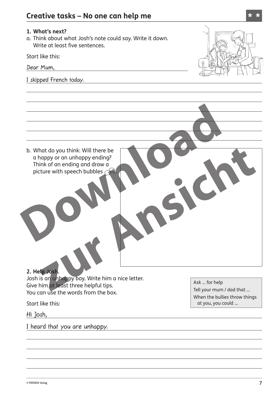#### **1. What's next?**

a. Think about what Josh's note could say. Write it down. Write at least five sentences.

Start like this:

Dear Mum,

I skipped French today.



b. What do you think: Will there be a happy or an unhappy ending? Think of an ending and draw a picture with speech bubbles  $\curvearrowright$ 

#### **2. Help Josh.**

Josh is an unhappy boy. Write him a nice letter. Give him at least three helpful tips. You can use the words from the box.

Start like this:

Hi Josh,

I heard that you are unhappy.

Ask … for help

Tell your mum / dad that … When the bullies throw things at you, you could …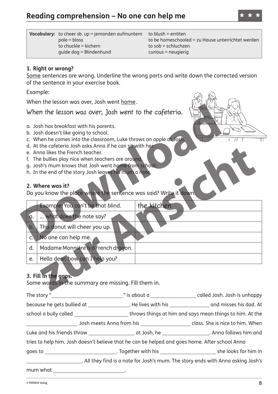| <b>Vocabulary:</b> to cheer sb. $up =$ jemanden aufmuntern | to blush = erröten                                |
|------------------------------------------------------------|---------------------------------------------------|
| $pale = blass$                                             | to be homeschooled = zu Hause unterrichtet werden |
| to chuckle $=$ kichern                                     | to $sob = schluchzen$                             |
| quide dog = Blindenhund                                    | $curious = neuqierig$                             |

#### **1. Right or wrong?**

Some sentences are wrong. Underline the wrong parts and write down the corrected version of the sentence in your exercise book.

Example:

When the lesson was over, Josh went home.

When the lesson was over, Josh went to the cafeteria.

- a. Josh has breakfast with his parents.
- b. Josh doesn't like going to school.
- c. When he comes into the classroom, Luke throws an apple at Josh.
- d. At the cafeteria Josh asks Anna if he can sit with her.
- e. Anna likes the French teacher.
- f. The bullies play nice when teachers are around.
- g. Josh's mum knows that Josh went home from school.
- h. In the end of the story Josh leaves his mum a note.

#### **2. Where was it?**

Do you know the place where the sentence was said? Write it down.

|                | Example: You can't be that blind.   | the kitchen |
|----------------|-------------------------------------|-------------|
| ۱a.            | what does the note say?             |             |
| $\mathsf{b}$   | This donut will cheer you up.       |             |
| $\mathsf{C}$ . | No one can help me.                 |             |
| d.             | Madame Monnière is a French dragon. |             |
| e.             | Hello dear, how can I help you?     |             |

#### **3. Fill in the gaps.**

Some words in the summary are missing. Fill them in.

The story "
The story "
The story "
Called Josh. Josh is unhappy
"
is about a
"
"
a called Josh. Josh is unhappy
"  $\frac{1}{2}$ "
"
is about a
"
"  $\frac{1}{2}$ "  $\frac{1}{2}$  called Josh. Josh is unhappy

because he gets bullied at \_\_\_\_\_\_\_\_\_\_\_\_\_\_\_\_. He lives with his \_\_\_\_\_\_\_\_\_\_\_\_\_\_\_\_\_ and misses his dad. At

school a bully called throws things at him and says mean things to him. At the

Josh meets Anna from his **class.** She is nice to him. When Luke and his friends throw **at Josh, he** . Anna follows him and

tries to help him. Josh doesn't believe that he can be helped and goes home. After school Anna

goes to **.** Together with his she looks for him in

. All they find is a note for Josh's mum. The story ends with Anna asking Josh's

mum what .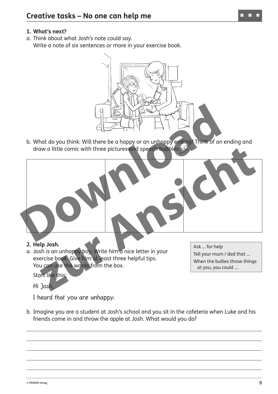#### **1. What's next?**

a. Think about what Josh's note could say. Write a note of six sentences or more in your exercise book.



b. What do you think: Will there be a happy or an unhappy ending? Think of an ending and draw a little comic with three pictures and speech bubbles.



a. Josh is an unhappy boy. Write him a nice letter in your exercise book. Give him at least three helpful tips. You can use the words from the box.

Start like this:

Hi Josh,

I heard that you are unhappy.

b. Imagine you are a student at Josh's school and you sit in the cafeteria when Luke and his friends come in and throw the apple at Josh. What would you do?

Ask … for help Tell your mum / dad that … When the bullies throw things at you, you could …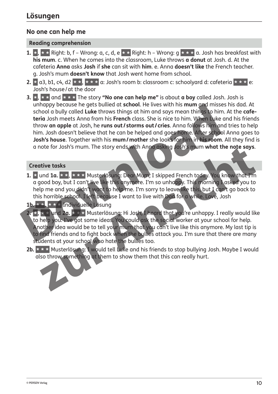#### **No one can help me**

#### **Reading comprehension**

- **1. \*** , **\* \*** Right: b, f Wrong: a, c, d, e **\* \*** Right: h Wrong: g **\* \* \*** a. Josh has breakfast with **his mum**. c. When he comes into the classroom, Luke throws **a donut** at Josh. d. At the cafeteria **Anna** asks **Josh** if **she** can sit with **him**. e. Anna **doesn't like** the French teacher. g. Josh's mum **doesn't know** that Josh went home from school.
- **2.**  $\star$  a3, b1, c4, d2  $\star$   $\star$ ,  $\star$   $\star$   $\star$  a: Josh's room b: classroom c: schoolyard d: cafeteria  $\star \star \star$  e: Josh's house/at the door
- **3. \*** , **\* \*** and **\* \* \*** The story **"No one can help me"** is about **a boy** called Josh. Josh is unhappy because he gets bullied at **school**. He lives with his **mum** and misses his dad. At school a bully called **Luke** throws things at him and says mean things to him. At the **cafeteria** Josh meets Anna from his **French** class. She is nice to him. When Luke and his friends throw **an apple** at Josh, he **runs out / storms out / cries**. Anna follows him and tries to help him. Josh doesn't believe that he can be helped and goes home. After school Anna goes to **Josh's house**. Together with his **mum/mother** she looks for him in **his room**. All they find is a note for Josh's mum. The story ends with Anna asking Josh's mum **what the note says**.

#### **Creative tasks**

**1. \*** und **1a. \* \*** , **\* \* \*** Musterlösung: Dear Mum, I skipped French today. You know that I'm a good boy, but I can't live like this anymore. I'm so unhappy. This morning I asked you to help me and you didn't want to help me. I'm sorry to leave like this, but I can't go back to this horrible school. I left because I want to live with Dad for a while. Love, Josh

#### **1b. \* \*** , **\* \* \*** Individuelle Lösung

- **2. \*** , **\* \*** und **2a. \* \* \*** Musterlösung: Hi Josh, I heard that you're unhappy. I really would like to help you: I've got some ideas. You could ask the social worker at your school for help. Another idea would be to tell your mum that you can't live like this anymore. My last tip is to find friends and to fight back when the bullies attack you. I'm sure that there are many students at your school who hate the bullies too.
- **2b. \* \* \*** Musterlösung: I would tell Luke and his friends to stop bullying Josh. Maybe I would also throw something at them to show them that this can really hurt.